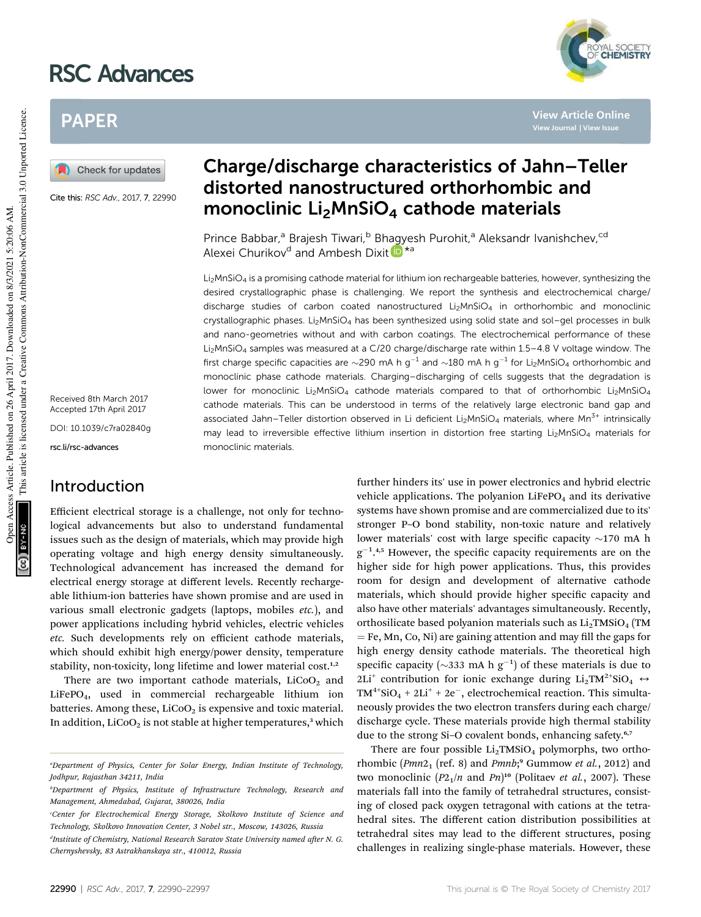# RSC Advances



**View Article Online**

# PAPER

Check for updates

Cite this: RSC Adv., 2017, 7, 22990

Received 8th March 2017 Accepted 17th April 2017

DOI: 10.1039/c7ra02840g

rsc.li/rsc-advances

## Introduction

Efficient electrical storage is a challenge, not only for technological advancements but also to understand fundamental issues such as the design of materials, which may provide high operating voltage and high energy density simultaneously. Technological advancement has increased the demand for electrical energy storage at different levels. Recently rechargeable lithium-ion batteries have shown promise and are used in various small electronic gadgets (laptops, mobiles etc.), and power applications including hybrid vehicles, electric vehicles etc. Such developments rely on efficient cathode materials, which should exhibit high energy/power density, temperature stability, non-toxicity, long lifetime and lower material cost.<sup>1,2</sup>

There are two important cathode materials,  $LiCoO<sub>2</sub>$  and LiFePO4, used in commercial rechargeable lithium ion batteries. Among these,  $LiCoO<sub>2</sub>$  is expensive and toxic material. In addition,  $LiCoO<sub>2</sub>$  is not stable at higher temperatures,<sup>3</sup> which

# Charge/discharge characteristics of Jahn–Teller distorted nanostructured orthorhombic and monoclinic Li<sub>2</sub>MnSiO<sub>4</sub> cathode materials

Prince Babbar,<sup>a</sup> Brajesh Tiwari,<sup>b</sup> Bhagyesh Purohit,<sup>a</sup> Aleksandr Ivanishchev,<sup>cd</sup> Alexei Churikov<sup>d</sup> and Ambesh Dixit D<sup>\*a</sup>

 $Li<sub>2</sub>MnSiO<sub>4</sub>$  is a promising cathode material for lithium ion rechargeable batteries, however, synthesizing the desired crystallographic phase is challenging. We report the synthesis and electrochemical charge/ discharge studies of carbon coated nanostructured  $Li<sub>2</sub>MnSiO<sub>4</sub>$  in orthorhombic and monoclinic crystallographic phases. Li<sub>2</sub>MnSiO<sub>4</sub> has been synthesized using solid state and sol-gel processes in bulk and nano-geometries without and with carbon coatings. The electrochemical performance of these Li<sub>2</sub>MnSiO<sub>4</sub> samples was measured at a C/20 charge/discharge rate within 1.5–4.8 V voltage window. The first charge specific capacities are  $\sim$ 290 mA h g<sup>-1</sup> and  $\sim$ 180 mA h g<sup>-1</sup> for Li<sub>2</sub>MnSiO<sub>4</sub> orthorhombic and monoclinic phase cathode materials. Charging–discharging of cells suggests that the degradation is lower for monoclinic Li<sub>2</sub>MnSiO<sub>4</sub> cathode materials compared to that of orthorhombic Li<sub>2</sub>MnSiO<sub>4</sub> cathode materials. This can be understood in terms of the relatively large electronic band gap and associated Jahn–Teller distortion observed in Li deficient Li<sub>2</sub>MnSiO<sub>4</sub> materials, where Mn<sup>3+</sup> intrinsically may lead to irreversible effective lithium insertion in distortion free starting  $Li<sub>2</sub>MnSiO<sub>4</sub>$  materials for monoclinic materials.

> further hinders its' use in power electronics and hybrid electric vehicle applications. The polyanion  $LiFePO<sub>4</sub>$  and its derivative systems have shown promise and are commercialized due to its' stronger P–O bond stability, non-toxic nature and relatively lower materials' cost with large specific capacity  $\sim$ 170 mA h  $g^{-1}$ .<sup>4,5</sup> However, the specific capacity requirements are on the higher side for high power applications. Thus, this provides room for design and development of alternative cathode materials, which should provide higher specific capacity and also have other materials' advantages simultaneously. Recently, orthosilicate based polyanion materials such as  $Li<sub>2</sub>TMSiO<sub>4</sub>$  (TM  $F = Fe$ , Mn, Co, Ni) are gaining attention and may fill the gaps for high energy density cathode materials. The theoretical high specific capacity ( $\sim$ 333 mA h g<sup>-1</sup>) of these materials is due to 2Li<sup>+</sup> contribution for ionic exchange during Li<sub>2</sub>TM<sup>2+</sup>SiO<sub>4</sub>  $\leftrightarrow$  $TM^{4+}SiO_4 + 2Li^{+} + 2e^{-}$ , electrochemical reaction. This simultaneously provides the two electron transfers during each charge/ discharge cycle. These materials provide high thermal stability due to the strong Si-O covalent bonds, enhancing safety.<sup>6,7</sup>

> There are four possible  $Li<sub>2</sub>TMSiO<sub>4</sub>$  polymorphs, two orthorhombic  $(Pmn2<sub>1</sub>$  (ref. 8) and  $Pmnb$ ;<sup>9</sup> Gummow *et al.*, 2012) and two monoclinic  $(P2_1/n$  and  $Pn)^{10}$  (Politaev *et al.*, 2007). These materials fall into the family of tetrahedral structures, consisting of closed pack oxygen tetragonal with cations at the tetrahedral sites. The different cation distribution possibilities at tetrahedral sites may lead to the different structures, posing challenges in realizing single-phase materials. However, these

<sup>a</sup>Department of Physics, Center for Solar Energy, Indian Institute of Technology, Jodhpur, Rajasthan 34211, India

*bDepartment of Physics, Institute of Infrastructure Technology, Research and* Management, Ahmedabad, Gujarat, 380026, India

<sup>&#</sup>x27;Center for Electrochemical Energy Storage, Skolkovo Institute of Science and Technology, Skolkovo Innovation Center, 3 Nobel str., Moscow, 143026, Russia

<sup>&</sup>lt;sup>d</sup>Institute of Chemistry, National Research Saratov State University named after N. G. Chernyshevsky, 83 Astrakhanskaya str., 410012, Russia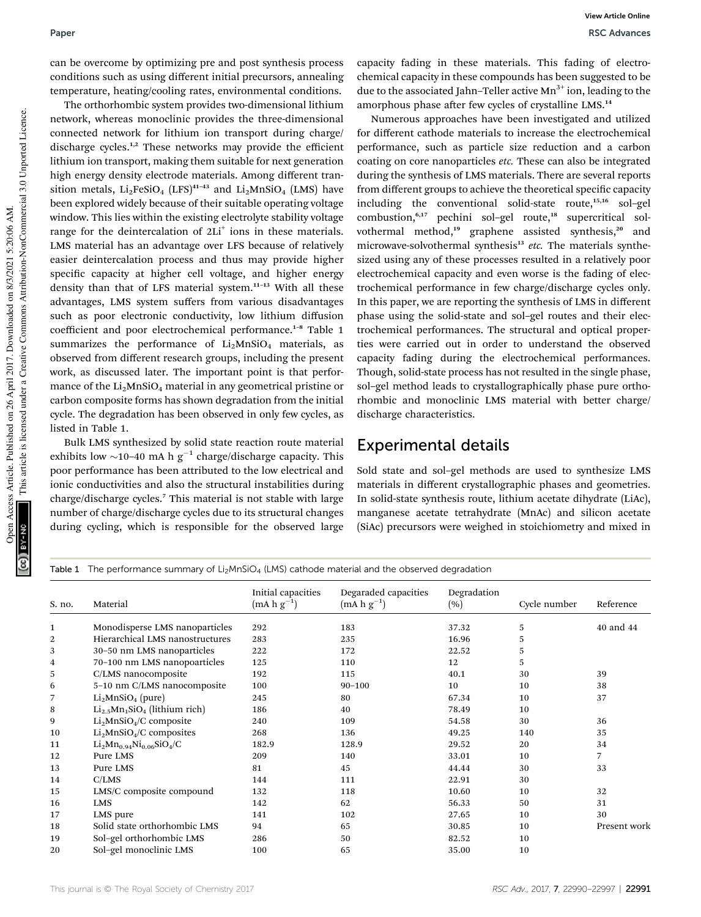can be overcome by optimizing pre and post synthesis process conditions such as using different initial precursors, annealing temperature, heating/cooling rates, environmental conditions.

The orthorhombic system provides two-dimensional lithium network, whereas monoclinic provides the three-dimensional connected network for lithium ion transport during charge/ discharge cycles.<sup>1,2</sup> These networks may provide the efficient lithium ion transport, making them suitable for next generation high energy density electrode materials. Among different transition metals,  $Li<sub>2</sub>FeSiO<sub>4</sub> (LFS)<sup>41-43</sup>$  and  $Li<sub>2</sub>MnSiO<sub>4</sub> (LMS)$  have been explored widely because of their suitable operating voltage window. This lies within the existing electrolyte stability voltage range for the deintercalation of 2Li<sup>+</sup> ions in these materials. LMS material has an advantage over LFS because of relatively easier deintercalation process and thus may provide higher specific capacity at higher cell voltage, and higher energy density than that of LFS material system.<sup>11</sup>–<sup>13</sup> With all these advantages, LMS system suffers from various disadvantages such as poor electronic conductivity, low lithium diffusion coefficient and poor electrochemical performance.<sup>1-8</sup> Table 1 summarizes the performance of  $Li<sub>2</sub>MnSiO<sub>4</sub>$  materials, as observed from different research groups, including the present work, as discussed later. The important point is that performance of the  $Li<sub>2</sub>MnSiO<sub>4</sub>$  material in any geometrical pristine or carbon composite forms has shown degradation from the initial cycle. The degradation has been observed in only few cycles, as listed in Table 1.

Bulk LMS synthesized by solid state reaction route material exhibits low  $\sim$ 10-40 mA h g<sup>-1</sup> charge/discharge capacity. This poor performance has been attributed to the low electrical and ionic conductivities and also the structural instabilities during charge/discharge cycles.<sup>7</sup> This material is not stable with large number of charge/discharge cycles due to its structural changes during cycling, which is responsible for the observed large

capacity fading in these materials. This fading of electrochemical capacity in these compounds has been suggested to be due to the associated Jahn–Teller active  $Mn^{3+}$  ion, leading to the amorphous phase after few cycles of crystalline LMS.<sup>14</sup>

Numerous approaches have been investigated and utilized for different cathode materials to increase the electrochemical performance, such as particle size reduction and a carbon coating on core nanoparticles *etc*. These can also be integrated during the synthesis of LMS materials. There are several reports from different groups to achieve the theoretical specific capacity including the conventional solid-state route,<sup>15,16</sup> sol-gel combustion,<sup>6,17</sup> pechini sol-gel route,<sup>18</sup> supercritical solvothermal method,<sup>19</sup> graphene assisted synthesis,<sup>20</sup> and microwave-solvothermal synthesis<sup>13</sup> etc. The materials synthesized using any of these processes resulted in a relatively poor electrochemical capacity and even worse is the fading of electrochemical performance in few charge/discharge cycles only. In this paper, we are reporting the synthesis of LMS in different phase using the solid-state and sol–gel routes and their electrochemical performances. The structural and optical properties were carried out in order to understand the observed capacity fading during the electrochemical performances. Though, solid-state process has not resulted in the single phase, sol–gel method leads to crystallographically phase pure orthorhombic and monoclinic LMS material with better charge/ discharge characteristics.

#### Experimental details

Sold state and sol–gel methods are used to synthesize LMS materials in different crystallographic phases and geometries. In solid-state synthesis route, lithium acetate dihydrate (LiAc), manganese acetate tetrahydrate (MnAc) and silicon acetate (SiAc) precursors were weighed in stoichiometry and mixed in

| Table 1 The performance summary of $Li_2MnSiO_4$ (LMS) cathode material and the observed degradation |                                    |                                       |                                         |                    |              |              |  |
|------------------------------------------------------------------------------------------------------|------------------------------------|---------------------------------------|-----------------------------------------|--------------------|--------------|--------------|--|
| S. no.                                                                                               | Material                           | Initial capacities<br>$(mA h g^{-1})$ | Degaraded capacities<br>$(mA h g^{-1})$ | Degradation<br>(%) | Cycle number | Reference    |  |
| 1                                                                                                    | Monodisperse LMS nanoparticles     | 292                                   | 183                                     | 37.32              | 5            | 40 and 44    |  |
| 2                                                                                                    | Hierarchical LMS nanostructures    | 283                                   | 235                                     | 16.96              | 5            |              |  |
| 3                                                                                                    | 30-50 nm LMS nanoparticles         | 222                                   | 172                                     | 22.52              | 5            |              |  |
| 4                                                                                                    | 70-100 nm LMS nanopoarticles       | 125                                   | 110                                     | 12                 | 5            |              |  |
| 5                                                                                                    | C/LMS nanocomposite                | 192                                   | 115                                     | 40.1               | 30           | 39           |  |
| 6                                                                                                    | 5-10 nm C/LMS nanocomposite        | 100                                   | $90 - 100$                              | 10                 | 10           | 38           |  |
| 7                                                                                                    | $Li2MnSiO4$ (pure)                 | 245                                   | 80                                      | 67.34              | 10           | 37           |  |
| 8                                                                                                    | $Li_{2.5}Mn_1SiO_4$ (lithium rich) | 186                                   | 40                                      | 78.49              | 10           |              |  |
| 9                                                                                                    | $Li2MnSiO4/C$ composite            | 240                                   | 109                                     | 54.58              | 30           | 36           |  |
| 10                                                                                                   | $Li2MnSiO4/C$ composites           | 268                                   | 136                                     | 49.25              | 140          | 35           |  |
| 11                                                                                                   | $Li_2Mn_{0.94}Ni_{0.06}SiO_4/C$    | 182.9                                 | 128.9                                   | 29.52              | 20           | 34           |  |
| 12                                                                                                   | Pure LMS                           | 209                                   | 140                                     | 33.01              | 10           | 7            |  |
| 13                                                                                                   | Pure LMS                           | 81                                    | 45                                      | 44.44              | 30           | 33           |  |
| 14                                                                                                   | C/LMS                              | 144                                   | 111                                     | 22.91              | 30           |              |  |
| 15                                                                                                   | LMS/C composite compound           | 132                                   | 118                                     | 10.60              | 10           | 32           |  |
| 16                                                                                                   | <b>LMS</b>                         | 142                                   | 62                                      | 56.33              | 50           | 31           |  |
| 17                                                                                                   | LMS pure                           | 141                                   | 102                                     | 27.65              | 10           | 30           |  |
| 18                                                                                                   | Solid state orthorhombic LMS       | 94                                    | 65                                      | 30.85              | 10           | Present work |  |
| 19                                                                                                   | Sol-gel orthorhombic LMS           | 286                                   | 50                                      | 82.52              | 10           |              |  |
| 20                                                                                                   | Sol-gel monoclinic LMS             | 100                                   | 65                                      | 35.00              | 10           |              |  |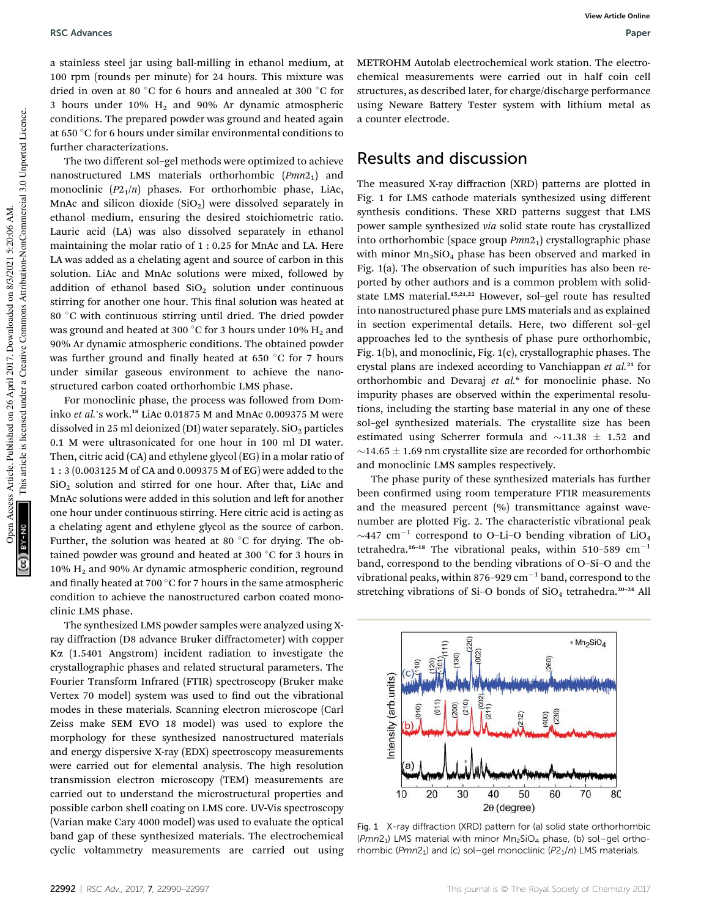a stainless steel jar using ball-milling in ethanol medium, at 100 rpm (rounds per minute) for 24 hours. This mixture was dried in oven at 80 °C for 6 hours and annealed at 300 °C for 3 hours under 10%  $H_2$  and 90% Ar dynamic atmospheric conditions. The prepared powder was ground and heated again at 650 °C for 6 hours under similar environmental conditions to further characterizations.

The two different sol–gel methods were optimized to achieve nanostructured LMS materials orthorhombic  $(Pmn2<sub>1</sub>)$  and monoclinic  $(P2<sub>1</sub>/n)$  phases. For orthorhombic phase, LiAc, MnAc and silicon dioxide  $(SiO<sub>2</sub>)$  were dissolved separately in ethanol medium, ensuring the desired stoichiometric ratio. Lauric acid (LA) was also dissolved separately in ethanol maintaining the molar ratio of 1 : 0.25 for MnAc and LA. Here LA was added as a chelating agent and source of carbon in this solution. LiAc and MnAc solutions were mixed, followed by addition of ethanol based  $SiO<sub>2</sub>$  solution under continuous stirring for another one hour. This final solution was heated at 80 °C with continuous stirring until dried. The dried powder was ground and heated at 300 °C for 3 hours under 10%  $H_2$  and 90% Ar dynamic atmospheric conditions. The obtained powder was further ground and finally heated at 650  $\degree$ C for 7 hours under similar gaseous environment to achieve the nanostructured carbon coated orthorhombic LMS phase.

For monoclinic phase, the process was followed from Dominko et al.'s work.<sup>18</sup> LiAc 0.01875 M and MnAc 0.009375 M were dissolved in 25 ml deionized (DI) water separately.  $SiO<sub>2</sub>$  particles 0.1 M were ultrasonicated for one hour in 100 ml DI water. Then, citric acid (CA) and ethylene glycol (EG) in a molar ratio of 1 : 3 (0.003125 M of CA and 0.009375 M of EG) were added to the  $SiO<sub>2</sub>$  solution and stirred for one hour. After that, LiAc and MnAc solutions were added in this solution and left for another one hour under continuous stirring. Here citric acid is acting as a chelating agent and ethylene glycol as the source of carbon. Further, the solution was heated at 80  $\degree$ C for drying. The obtained powder was ground and heated at 300  $\degree$ C for 3 hours in 10% H<sup>2</sup> and 90% Ar dynamic atmospheric condition, reground and finally heated at 700  $\degree$ C for 7 hours in the same atmospheric condition to achieve the nanostructured carbon coated monoclinic LMS phase.

The synthesized LMS powder samples were analyzed using Xray diffraction (D8 advance Bruker diffractometer) with copper Ka (1.5401 Angstrom) incident radiation to investigate the crystallographic phases and related structural parameters. The Fourier Transform Infrared (FTIR) spectroscopy (Bruker make Vertex 70 model) system was used to find out the vibrational modes in these materials. Scanning electron microscope (Carl Zeiss make SEM EVO 18 model) was used to explore the morphology for these synthesized nanostructured materials and energy dispersive X-ray (EDX) spectroscopy measurements were carried out for elemental analysis. The high resolution transmission electron microscopy (TEM) measurements are carried out to understand the microstructural properties and possible carbon shell coating on LMS core. UV-Vis spectroscopy (Varian make Cary 4000 model) was used to evaluate the optical band gap of these synthesized materials. The electrochemical cyclic voltammetry measurements are carried out using METROHM Autolab electrochemical work station. The electrochemical measurements were carried out in half coin cell structures, as described later, for charge/discharge performance using Neware Battery Tester system with lithium metal as a counter electrode.

#### Results and discussion

The measured X-ray diffraction (XRD) patterns are plotted in Fig. 1 for LMS cathode materials synthesized using different synthesis conditions. These XRD patterns suggest that LMS power sample synthesized via solid state route has crystallized into orthorhombic (space group  $Pmn2<sub>1</sub>$ ) crystallographic phase with minor  $Mn_2SiO_4$  phase has been observed and marked in Fig. 1(a). The observation of such impurities has also been reported by other authors and is a common problem with solidstate LMS material.<sup>15,21,22</sup> However, sol-gel route has resulted into nanostructured phase pure LMS materials and as explained in section experimental details. Here, two different sol–gel approaches led to the synthesis of phase pure orthorhombic, Fig. 1(b), and monoclinic, Fig. 1(c), crystallographic phases. The crystal plans are indexed according to Vanchiappan et al.<sup>21</sup> for orthorhombic and Devaraj et al.<sup>6</sup> for monoclinic phase. No impurity phases are observed within the experimental resolutions, including the starting base material in any one of these sol–gel synthesized materials. The crystallite size has been estimated using Scherrer formula and  $\sim$ 11.38  $\pm$  1.52 and  $\sim$ 14.65  $\pm$  1.69 nm crystallite size are recorded for orthorhombic and monoclinic LMS samples respectively.

The phase purity of these synthesized materials has further been confirmed using room temperature FTIR measurements and the measured percent (%) transmittance against wavenumber are plotted Fig. 2. The characteristic vibrational peak  $\sim$ 447 cm<sup>-1</sup> correspond to O-Li-O bending vibration of LiO<sub>4</sub> tetrahedra.<sup>16–18</sup> The vibrational peaks, within 510–589 cm<sup>-1</sup> band, correspond to the bending vibrations of O–Si–O and the vibrational peaks, within 876-929  $\text{cm}^{-1}$  band, correspond to the stretching vibrations of Si-O bonds of  $SiO<sub>4</sub>$  tetrahedra.<sup>20-24</sup> All



Fig. 1 X-ray diffraction (XRD) pattern for (a) solid state orthorhombic (Pmn2<sub>1</sub>) LMS material with minor Mn<sub>2</sub>SiO<sub>4</sub> phase, (b) sol-gel orthorhombic  $(Pmn2<sub>1</sub>)$  and (c) sol-gel monoclinic ( $P2<sub>1</sub>/n$ ) LMS materials.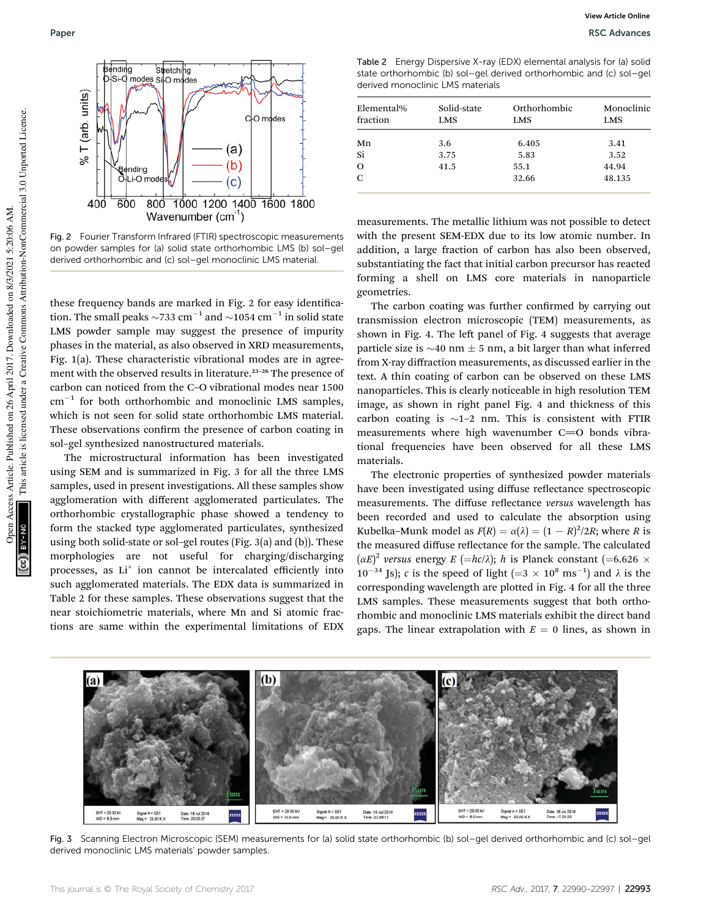

Fig. 2 Fourier Transform Infrared (FTIR) spectroscopic measurements on powder samples for (a) solid state orthorhombic LMS (b) sol–gel derived orthorhombic and (c) sol–gel monoclinic LMS material.

these frequency bands are marked in Fig. 2 for easy identification. The small peaks  $\sim$ 733 cm<sup>-1</sup> and  $\sim$ 1054 cm<sup>-1</sup> in solid state LMS powder sample may suggest the presence of impurity phases in the material, as also observed in XRD measurements, Fig. 1(a). These characteristic vibrational modes are in agreement with the observed results in literature.<sup>23-26</sup> The presence of carbon can noticed from the C–O vibrational modes near 1500  $\text{cm}^{-1}$  for both orthorhombic and monoclinic LMS samples, which is not seen for solid state orthorhombic LMS material. These observations confirm the presence of carbon coating in sol–gel synthesized nanostructured materials.

The microstructural information has been investigated using SEM and is summarized in Fig. 3 for all the three LMS samples, used in present investigations. All these samples show agglomeration with different agglomerated particulates. The orthorhombic crystallographic phase showed a tendency to form the stacked type agglomerated particulates, synthesized using both solid-state or sol–gel routes (Fig. 3(a) and (b)). These morphologies are not useful for charging/discharging processes, as Li<sup>+</sup> ion cannot be intercalated efficiently into such agglomerated materials. The EDX data is summarized in Table 2 for these samples. These observations suggest that the near stoichiometric materials, where Mn and Si atomic fractions are same within the experimental limitations of EDX

Table 2 Energy Dispersive X-ray (EDX) elemental analysis for (a) solid state orthorhombic (b) sol–gel derived orthorhombic and (c) sol–gel derived monoclinic LMS materials

| Elemental%<br>fraction | Solid-state<br>LMS | Orthorhombic<br>LMS | Monoclinic<br><b>LMS</b> |
|------------------------|--------------------|---------------------|--------------------------|
| Mn                     | 3.6                | 6.405               | 3.41                     |
| Si                     | 3.75               | 5.83                | 3.52                     |
| $\Omega$               | 41.5               | 55.1                | 44.94                    |
| $\mathbf C$            |                    | 32.66               | 48.135                   |

measurements. The metallic lithium was not possible to detect with the present SEM-EDX due to its low atomic number. In addition, a large fraction of carbon has also been observed, substantiating the fact that initial carbon precursor has reacted forming a shell on LMS core materials in nanoparticle geometries.

The carbon coating was further confirmed by carrying out transmission electron microscopic (TEM) measurements, as shown in Fig. 4. The left panel of Fig. 4 suggests that average particle size is  $\sim$ 40 nm  $\pm$  5 nm, a bit larger than what inferred from X-ray diffraction measurements, as discussed earlier in the text. A thin coating of carbon can be observed on these LMS nanoparticles. This is clearly noticeable in high resolution TEM image, as shown in right panel Fig. 4 and thickness of this carbon coating is  $\sim$ 1–2 nm. This is consistent with FTIR measurements where high wavenumber  $C=O$  bonds vibrational frequencies have been observed for all these LMS materials.

The electronic properties of synthesized powder materials have been investigated using diffuse reflectance spectroscopic measurements. The diffuse reflectance versus wavelength has been recorded and used to calculate the absorption using Kubelka–Munk model as  $F(R) = \alpha(\lambda) = (1 - R)^2/2R$ ; where R is the measured diffuse reflectance for the sample. The calculated  $(\alpha E)^2$  versus energy  $E = \frac{hc}{\lambda}$ ; h is Planck constant  $(= 6.626 \times$  $10^{-34}$  Js); c is the speed of light (=3  $\times$  10<sup>8</sup> ms<sup>-1</sup>) and  $\lambda$  is the corresponding wavelength are plotted in Fig. 4 for all the three LMS samples. These measurements suggest that both orthorhombic and monoclinic LMS materials exhibit the direct band gaps. The linear extrapolation with  $E = 0$  lines, as shown in



Fig. 3 Scanning Electron Microscopic (SEM) measurements for (a) solid state orthorhombic (b) sol–gel derived orthorhombic and (c) sol–gel derived monoclinic LMS materials' powder samples.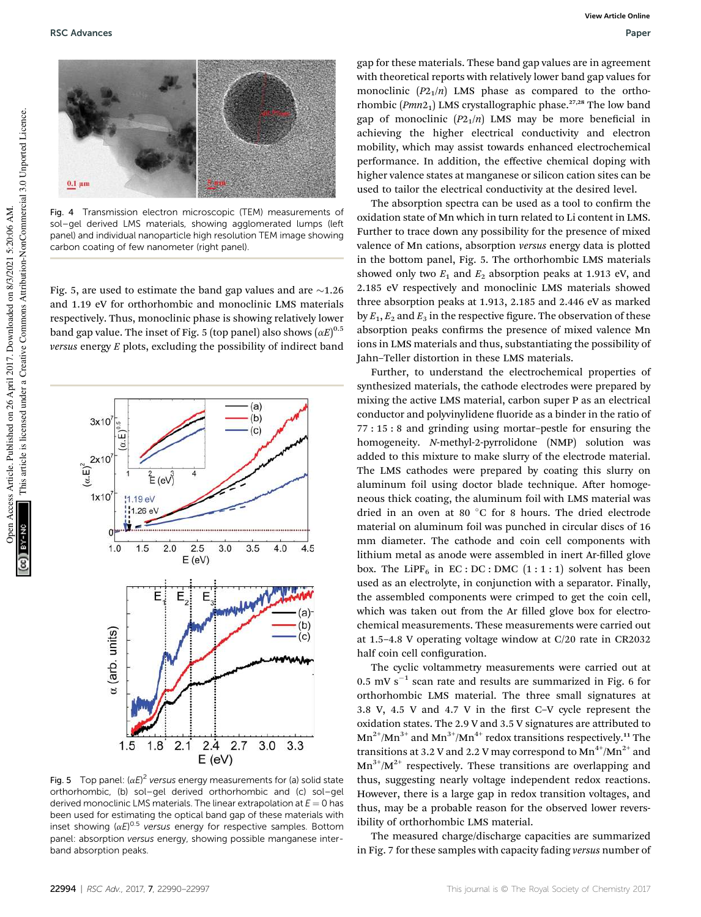

Fig. 4 Transmission electron microscopic (TEM) measurements of sol–gel derived LMS materials, showing agglomerated lumps (left panel) and individual nanoparticle high resolution TEM image showing carbon coating of few nanometer (right panel).

Fig. 5, are used to estimate the band gap values and are  $\sim$ 1.26 and 1.19 eV for orthorhombic and monoclinic LMS materials respectively. Thus, monoclinic phase is showing relatively lower band gap value. The inset of Fig. 5 (top panel) also shows  $(\alpha E)^{0.5}$ versus energy  $E$  plots, excluding the possibility of indirect band



Fig. 5 Top panel:  $(\alpha E)^2$  versus energy measurements for (a) solid state orthorhombic, (b) sol–gel derived orthorhombic and (c) sol–gel derived monoclinic LMS materials. The linear extrapolation at  $E = 0$  has been used for estimating the optical band gap of these materials with inset showing  $(\alpha E)^{0.5}$  versus energy for respective samples. Bottom panel: absorption versus energy, showing possible manganese interband absorption peaks.

gap for these materials. These band gap values are in agreement with theoretical reports with relatively lower band gap values for monoclinic  $(P2<sub>1</sub>/n)$  LMS phase as compared to the orthorhombic ( $Pmn2<sub>1</sub>$ ) LMS crystallographic phase.<sup>27,28</sup> The low band gap of monoclinic  $(P2_1/n)$  LMS may be more beneficial in achieving the higher electrical conductivity and electron mobility, which may assist towards enhanced electrochemical performance. In addition, the effective chemical doping with higher valence states at manganese or silicon cation sites can be used to tailor the electrical conductivity at the desired level.

The absorption spectra can be used as a tool to confirm the oxidation state of Mn which in turn related to Li content in LMS. Further to trace down any possibility for the presence of mixed valence of Mn cations, absorption versus energy data is plotted in the bottom panel, Fig. 5. The orthorhombic LMS materials showed only two  $E_1$  and  $E_2$  absorption peaks at 1.913 eV, and 2.185 eV respectively and monoclinic LMS materials showed three absorption peaks at 1.913, 2.185 and 2.446 eV as marked by  $E_1, E_2$  and  $E_3$  in the respective figure. The observation of these absorption peaks confirms the presence of mixed valence Mn ions in LMS materials and thus, substantiating the possibility of Jahn–Teller distortion in these LMS materials.

Further, to understand the electrochemical properties of synthesized materials, the cathode electrodes were prepared by mixing the active LMS material, carbon super P as an electrical conductor and polyvinylidene fluoride as a binder in the ratio of 77 : 15 : 8 and grinding using mortar–pestle for ensuring the homogeneity. N-methyl-2-pyrrolidone (NMP) solution was added to this mixture to make slurry of the electrode material. The LMS cathodes were prepared by coating this slurry on aluminum foil using doctor blade technique. After homogeneous thick coating, the aluminum foil with LMS material was dried in an oven at 80  $^{\circ}$ C for 8 hours. The dried electrode material on aluminum foil was punched in circular discs of 16 mm diameter. The cathode and coin cell components with lithium metal as anode were assembled in inert Ar-filled glove box. The LiPF<sub>6</sub> in EC : DC : DMC  $(1:1:1)$  solvent has been used as an electrolyte, in conjunction with a separator. Finally, the assembled components were crimped to get the coin cell, which was taken out from the Ar filled glove box for electrochemical measurements. These measurements were carried out at 1.5–4.8 V operating voltage window at C/20 rate in CR2032 half coin cell configuration.

The cyclic voltammetry measurements were carried out at  $0.5$  mV s<sup>-1</sup> scan rate and results are summarized in Fig. 6 for orthorhombic LMS material. The three small signatures at 3.8 V, 4.5 V and 4.7 V in the first C-V cycle represent the oxidation states. The 2.9 V and 3.5 V signatures are attributed to  $Mn^{2+}/Mn^{3+}$  and  $Mn^{3+}/Mn^{4+}$  redox transitions respectively.<sup>11</sup> The transitions at 3.2 V and 2.2 V may correspond to  $Mn^{4+}/Mn^{2+}$  and  $Mn^{3+}/M^{2+}$  respectively. These transitions are overlapping and thus, suggesting nearly voltage independent redox reactions. However, there is a large gap in redox transition voltages, and thus, may be a probable reason for the observed lower reversibility of orthorhombic LMS material.

The measured charge/discharge capacities are summarized in Fig. 7 for these samples with capacity fading versus number of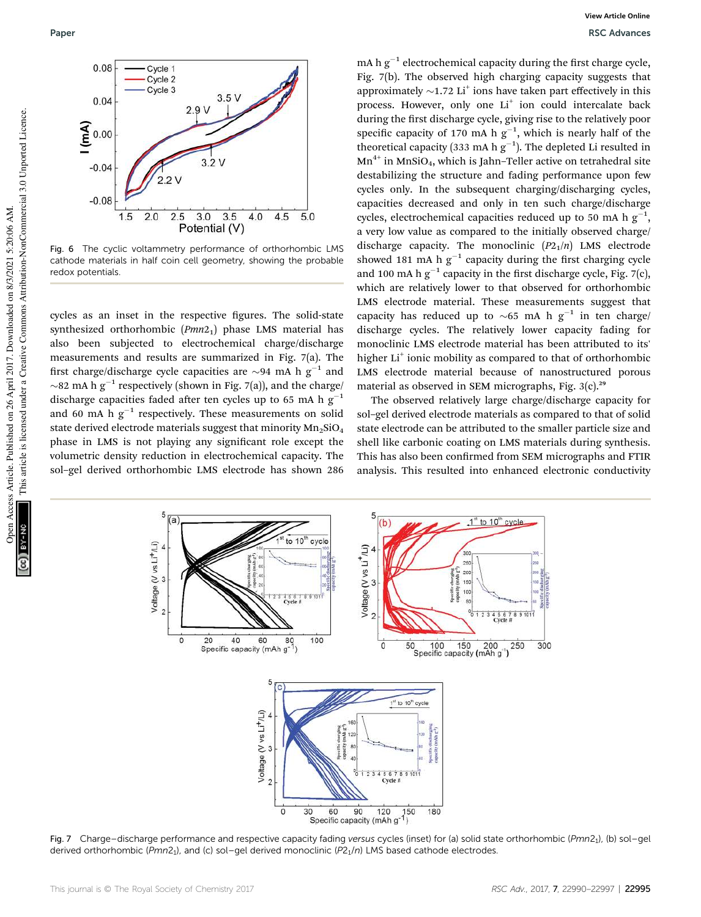

Fig. 6 The cyclic voltammetry performance of orthorhombic LMS cathode materials in half coin cell geometry, showing the probable redox potentials.

cycles as an inset in the respective figures. The solid-state synthesized orthorhombic  $(Pmn2<sub>1</sub>)$  phase LMS material has also been subjected to electrochemical charge/discharge measurements and results are summarized in Fig. 7(a). The first charge/discharge cycle capacities are  $\sim$ 94 mA h g<sup>-1</sup> and  $\sim$ 82 mA h g<sup>-1</sup> respectively (shown in Fig. 7(a)), and the charge/ discharge capacities faded after ten cycles up to 65 mA h  $g^{-1}$ and 60 mA h  $g^{-1}$  respectively. These measurements on solid state derived electrode materials suggest that minority  $Mn<sub>2</sub>SiO<sub>4</sub>$ phase in LMS is not playing any signicant role except the volumetric density reduction in electrochemical capacity. The sol–gel derived orthorhombic LMS electrode has shown 286

mA h  $g^{-1}$  electrochemical capacity during the first charge cycle, Fig. 7(b). The observed high charging capacity suggests that approximately  $\sim$ 1.72 Li<sup>+</sup> ions have taken part effectively in this process. However, only one Li<sup>+</sup> ion could intercalate back during the first discharge cycle, giving rise to the relatively poor specific capacity of 170 mA h  $g^{-1}$ , which is nearly half of the theoretical capacity (333 mA h  $g^{-1}$ ). The depleted Li resulted in  $Mn^{4+}$  in MnSiO<sub>4</sub>, which is Jahn–Teller active on tetrahedral site destabilizing the structure and fading performance upon few cycles only. In the subsequent charging/discharging cycles, capacities decreased and only in ten such charge/discharge cycles, electrochemical capacities reduced up to 50 mA h  $g^{-1}$ , a very low value as compared to the initially observed charge/ discharge capacity. The monoclinic  $(P2_1/n)$  LMS electrode showed 181 mA h  $g^{-1}$  capacity during the first charging cycle and 100 mA h  $g^{-1}$  capacity in the first discharge cycle, Fig. 7(c), which are relatively lower to that observed for orthorhombic LMS electrode material. These measurements suggest that capacity has reduced up to  $\sim$  65 mA h g<sup>-1</sup> in ten charge/ discharge cycles. The relatively lower capacity fading for monoclinic LMS electrode material has been attributed to its' higher Li<sup>+</sup> ionic mobility as compared to that of orthorhombic LMS electrode material because of nanostructured porous material as observed in SEM micrographs, Fig.  $3(c)$ .<sup>29</sup>

The observed relatively large charge/discharge capacity for sol–gel derived electrode materials as compared to that of solid state electrode can be attributed to the smaller particle size and shell like carbonic coating on LMS materials during synthesis. This has also been confirmed from SEM micrographs and FTIR analysis. This resulted into enhanced electronic conductivity



Fig. 7 Charge-discharge performance and respective capacity fading versus cycles (inset) for (a) solid state orthorhombic (Pmn2<sub>1</sub>), (b) sol-gel derived orthorhombic (Pmn2<sub>1</sub>), and (c) sol-gel derived monoclinic (P2<sub>1</sub>/n) LMS based cathode electrodes.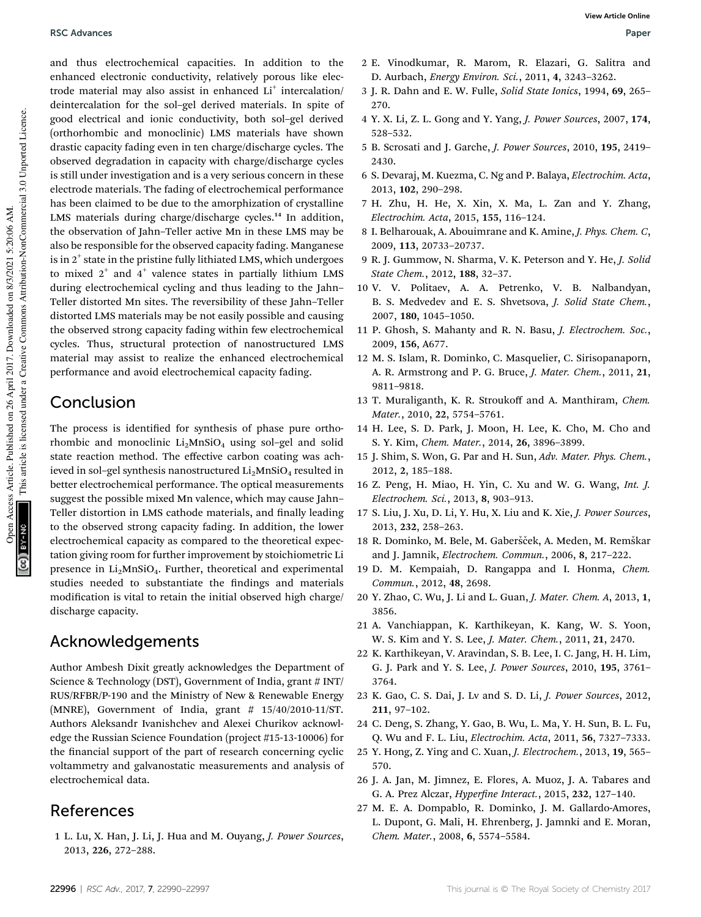and thus electrochemical capacities. In addition to the enhanced electronic conductivity, relatively porous like electrode material may also assist in enhanced Li<sup>+</sup> intercalation/ deintercalation for the sol–gel derived materials. In spite of good electrical and ionic conductivity, both sol–gel derived (orthorhombic and monoclinic) LMS materials have shown drastic capacity fading even in ten charge/discharge cycles. The observed degradation in capacity with charge/discharge cycles is still under investigation and is a very serious concern in these electrode materials. The fading of electrochemical performance has been claimed to be due to the amorphization of crystalline LMS materials during charge/discharge cycles.<sup>14</sup> In addition, the observation of Jahn–Teller active Mn in these LMS may be also be responsible for the observed capacity fading. Manganese is in  $2^+$  state in the pristine fully lithiated LMS, which undergoes to mixed  $2^+$  and  $4^+$  valence states in partially lithium LMS during electrochemical cycling and thus leading to the Jahn– Teller distorted Mn sites. The reversibility of these Jahn–Teller distorted LMS materials may be not easily possible and causing the observed strong capacity fading within few electrochemical cycles. Thus, structural protection of nanostructured LMS material may assist to realize the enhanced electrochemical performance and avoid electrochemical capacity fading.

# Conclusion

The process is identified for synthesis of phase pure orthorhombic and monoclinic  $Li<sub>2</sub>MnSiO<sub>4</sub>$  using sol–gel and solid state reaction method. The effective carbon coating was achieved in sol-gel synthesis nanostructured  $Li<sub>2</sub>MnSiO<sub>4</sub>$  resulted in better electrochemical performance. The optical measurements suggest the possible mixed Mn valence, which may cause Jahn– Teller distortion in LMS cathode materials, and finally leading to the observed strong capacity fading. In addition, the lower electrochemical capacity as compared to the theoretical expectation giving room for further improvement by stoichiometric Li presence in  $Li<sub>2</sub>MnSiO<sub>4</sub>$ . Further, theoretical and experimental studies needed to substantiate the findings and materials modification is vital to retain the initial observed high charge/ discharge capacity.

## Acknowledgements

Author Ambesh Dixit greatly acknowledges the Department of Science & Technology (DST), Government of India, grant # INT/ RUS/RFBR/P-190 and the Ministry of New & Renewable Energy (MNRE), Government of India, grant # 15/40/2010-11/ST. Authors Aleksandr Ivanishchev and Alexei Churikov acknowledge the Russian Science Foundation (project #15-13-10006) for the financial support of the part of research concerning cyclic voltammetry and galvanostatic measurements and analysis of electrochemical data.

## References

1 L. Lu, X. Han, J. Li, J. Hua and M. Ouyang, J. Power Sources, 2013, 226, 272–288.

- 2 E. Vinodkumar, R. Marom, R. Elazari, G. Salitra and D. Aurbach, Energy Environ. Sci., 2011, 4, 3243–3262.
- 3 J. R. Dahn and E. W. Fulle, Solid State Ionics, 1994, 69, 265– 270.
- 4 Y. X. Li, Z. L. Gong and Y. Yang, J. Power Sources, 2007, 174, 528–532.
- 5 B. Scrosati and J. Garche, J. Power Sources, 2010, 195, 2419– 2430.
- 6 S. Devaraj, M. Kuezma, C. Ng and P. Balaya, Electrochim. Acta, 2013, 102, 290–298.
- 7 H. Zhu, H. He, X. Xin, X. Ma, L. Zan and Y. Zhang, Electrochim. Acta, 2015, 155, 116–124.
- 8 I. Belharouak, A. Abouimrane and K. Amine, J. Phys. Chem. C, 2009, 113, 20733–20737.
- 9 R. J. Gummow, N. Sharma, V. K. Peterson and Y. He, J. Solid State Chem., 2012, 188, 32–37.
- 10 V. V. Politaev, A. A. Petrenko, V. B. Nalbandyan, B. S. Medvedev and E. S. Shvetsova, J. Solid State Chem., 2007, 180, 1045–1050.
- 11 P. Ghosh, S. Mahanty and R. N. Basu, J. Electrochem. Soc., 2009, 156, A677.
- 12 M. S. Islam, R. Dominko, C. Masquelier, C. Sirisopanaporn, A. R. Armstrong and P. G. Bruce, J. Mater. Chem., 2011, 21, 9811–9818.
- 13 T. Muraliganth, K. R. Stroukoff and A. Manthiram, Chem. Mater., 2010, 22, 5754–5761.
- 14 H. Lee, S. D. Park, J. Moon, H. Lee, K. Cho, M. Cho and S. Y. Kim, Chem. Mater., 2014, 26, 3896–3899.
- 15 J. Shim, S. Won, G. Par and H. Sun, Adv. Mater. Phys. Chem., 2012, 2, 185–188.
- 16 Z. Peng, H. Miao, H. Yin, C. Xu and W. G. Wang, Int. J. Electrochem. Sci., 2013, 8, 903–913.
- 17 S. Liu, J. Xu, D. Li, Y. Hu, X. Liu and K. Xie, J. Power Sources, 2013, 232, 258–263.
- 18 R. Dominko, M. Bele, M. Gaberšček, A. Meden, M. Remškar and J. Jamnik, Electrochem. Commun., 2006, 8, 217–222.
- 19 D. M. Kempaiah, D. Rangappa and I. Honma, Chem. Commun., 2012, 48, 2698.
- 20 Y. Zhao, C. Wu, J. Li and L. Guan, J. Mater. Chem. A, 2013, 1, 3856.
- 21 A. Vanchiappan, K. Karthikeyan, K. Kang, W. S. Yoon, W. S. Kim and Y. S. Lee, J. Mater. Chem., 2011, 21, 2470.
- 22 K. Karthikeyan, V. Aravindan, S. B. Lee, I. C. Jang, H. H. Lim, G. J. Park and Y. S. Lee, J. Power Sources, 2010, 195, 3761– 3764.
- 23 K. Gao, C. S. Dai, J. Lv and S. D. Li, J. Power Sources, 2012, 211, 97–102.
- 24 C. Deng, S. Zhang, Y. Gao, B. Wu, L. Ma, Y. H. Sun, B. L. Fu, Q. Wu and F. L. Liu, Electrochim. Acta, 2011, 56, 7327–7333.
- 25 Y. Hong, Z. Ying and C. Xuan, J. Electrochem., 2013, 19, 565– 570.
- 26 J. A. Jan, M. Jimnez, E. Flores, A. Muoz, J. A. Tabares and G. A. Prez Alczar, *Hyperfine Interact.*, 2015, 232, 127-140.
- 27 M. E. A. Dompablo, R. Dominko, J. M. Gallardo-Amores, L. Dupont, G. Mali, H. Ehrenberg, J. Jamnki and E. Moran, Chem. Mater., 2008, 6, 5574–5584.